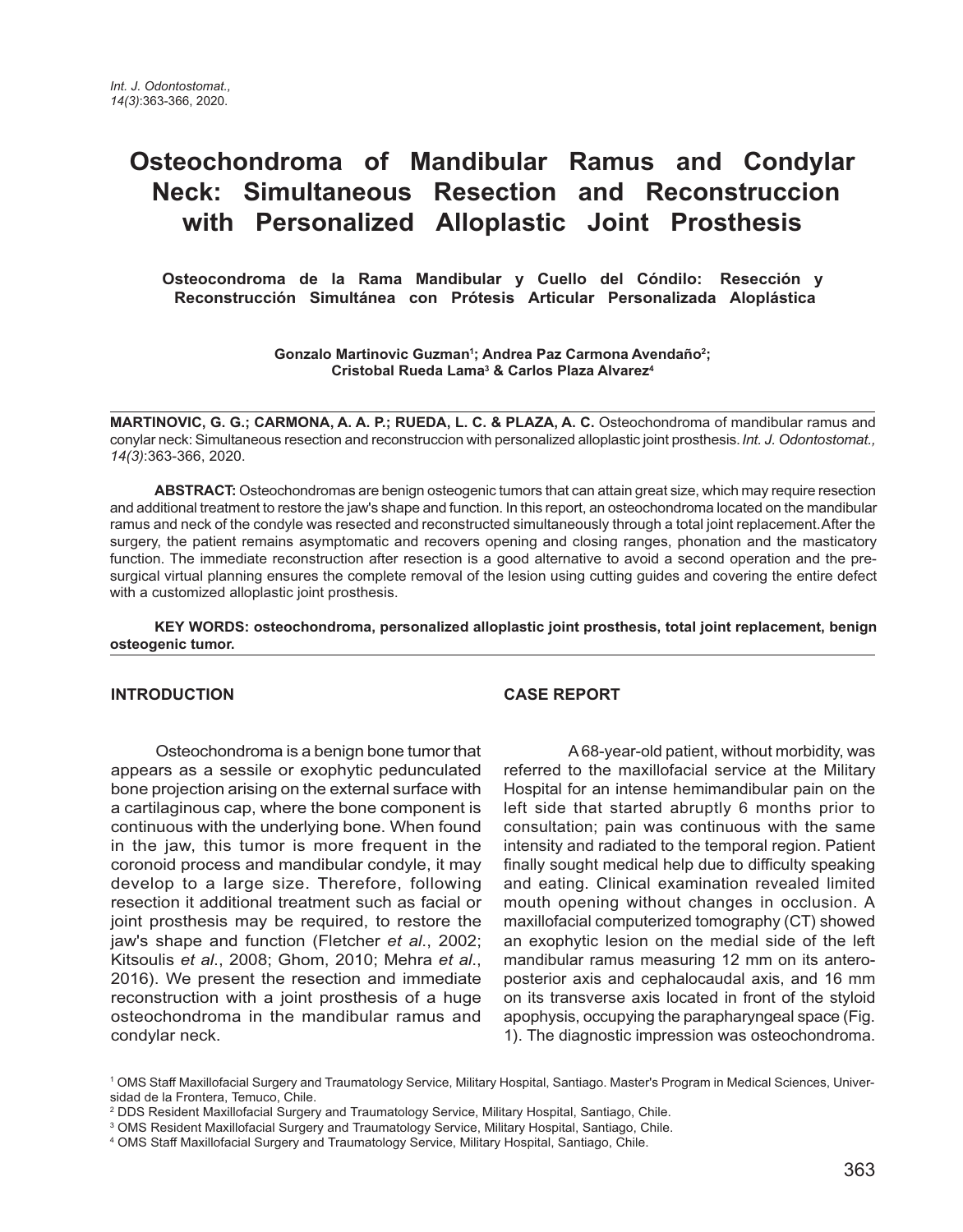# **Osteochondroma of Mandibular Ramus and Condylar Neck: Simultaneous Resection and Reconstruccion with Personalized Alloplastic Joint Prosthesis**

**Osteocondroma de la Rama Mandibular y Cuello del Cóndilo: Resección y Reconstrucción Simultánea con Prótesis Articular Personalizada Aloplástica** 

> **Gonzalo Martinovic Guzman1 ; Andrea Paz Carmona Avendaño2 ; Cristobal Rueda Lama3 & Carlos Plaza Alvarez4**

**MARTINOVIC, G. G.; CARMONA, A. A. P.; RUEDA, L. C. & PLAZA, A. C.** Osteochondroma of mandibular ramus and conylar neck: Simultaneous resection and reconstruccion with personalized alloplastic joint prosthesis. *Int. J. Odontostomat., 14(3)*:363-366, 2020.

**ABSTRACT:** Osteochondromas are benign osteogenic tumors that can attain great size, which may require resection and additional treatment to restore the jaw's shape and function. In this report, an osteochondroma located on the mandibular ramus and neck of the condyle was resected and reconstructed simultaneously through a total joint replacement. After the surgery, the patient remains asymptomatic and recovers opening and closing ranges, phonation and the masticatory function. The immediate reconstruction after resection is a good alternative to avoid a second operation and the presurgical virtual planning ensures the complete removal of the lesion using cutting guides and covering the entire defect with a customized alloplastic joint prosthesis.

**KEY WORDS: osteochondroma, personalized alloplastic joint prosthesis, total joint replacement, benign osteogenic tumor.**

### **INTRODUCTION**

Osteochondroma is a benign bone tumor that appears as a sessile or exophytic pedunculated bone projection arising on the external surface with a cartilaginous cap, where the bone component is continuous with the underlying bone. When found in the jaw, this tumor is more frequent in the coronoid process and mandibular condyle, it may develop to a large size. Therefore, following resection it additional treatment such as facial or joint prosthesis may be required, to restore the jaw's shape and function (Fletcher *et al*., 2002; Kitsoulis *et al*., 2008; Ghom, 2010; Mehra *et al*., 2016). We present the resection and immediate reconstruction with a joint prosthesis of a huge osteochondroma in the mandibular ramus and condylar neck.

## **CASE REPORT**

 A 68-year-old patient, without morbidity, was referred to the maxillofacial service at the Military Hospital for an intense hemimandibular pain on the left side that started abruptly 6 months prior to consultation; pain was continuous with the same intensity and radiated to the temporal region. Patient finally sought medical help due to difficulty speaking and eating. Clinical examination revealed limited mouth opening without changes in occlusion. A maxillofacial computerized tomography (CT) showed an exophytic lesion on the medial side of the left mandibular ramus measuring 12 mm on its anteroposterior axis and cephalocaudal axis, and 16 mm on its transverse axis located in front of the styloid apophysis, occupying the parapharyngeal space (Fig. 1). The diagnostic impression was osteochondroma.

<sup>1</sup> OMS Staff Maxillofacial Surgery and Traumatology Service, Military Hospital, Santiago. Master's Program in Medical Sciences, Universidad de la Frontera, Temuco, Chile.

<sup>2</sup> DDS Resident Maxillofacial Surgery and Traumatology Service, Military Hospital, Santiago, Chile.

<sup>3</sup> OMS Resident Maxillofacial Surgery and Traumatology Service, Military Hospital, Santiago, Chile.

<sup>4</sup> OMS Staff Maxillofacial Surgery and Traumatology Service, Military Hospital, Santiago, Chile.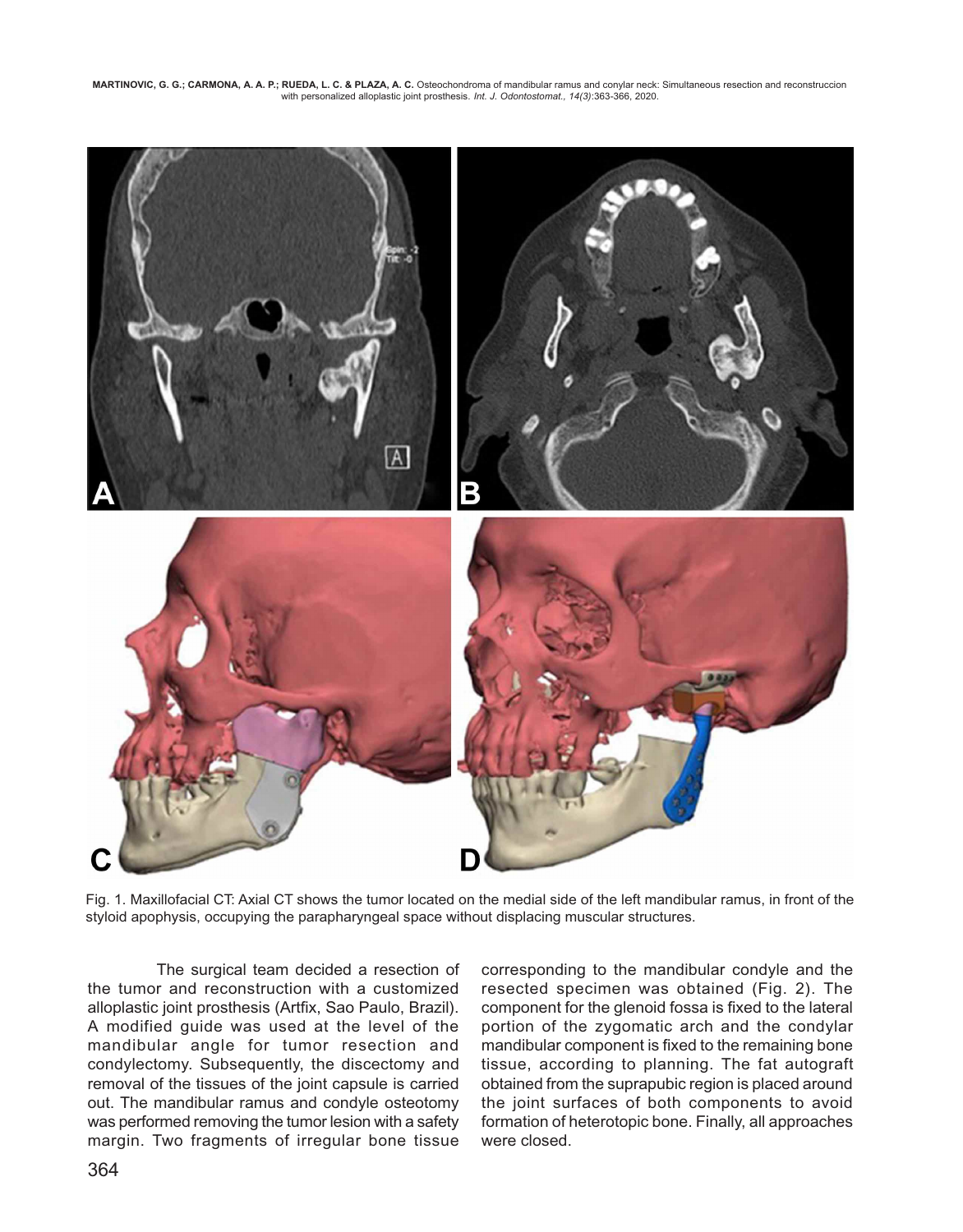**MARTINOVIC, G. G.; CARMONA, A. A. P.; RUEDA, L. C. & PLAZA, A. C.** Osteochondroma of mandibular ramus and conylar neck: Simultaneous resection and reconstruccion with personalized alloplastic joint prosthesis. *Int. J. Odontostomat., 14(3)*:363-366, 2020.



Fig. 1. Maxillofacial CT: Axial CT shows the tumor located on the medial side of the left mandibular ramus, in front of the styloid apophysis, occupying the parapharyngeal space without displacing muscular structures.

 The surgical team decided a resection of the tumor and reconstruction with a customized alloplastic joint prosthesis (Artfix, Sao Paulo, Brazil). A modified guide was used at the level of the mandibular angle for tumor resection and condylectomy. Subsequently, the discectomy and removal of the tissues of the joint capsule is carried out. The mandibular ramus and condyle osteotomy was performed removing the tumor lesion with a safety margin. Two fragments of irregular bone tissue corresponding to the mandibular condyle and the resected specimen was obtained (Fig. 2). The component for the glenoid fossa is fixed to the lateral portion of the zygomatic arch and the condylar mandibular component is fixed to the remaining bone tissue, according to planning. The fat autograft obtained from the suprapubic region is placed around the joint surfaces of both components to avoid formation of heterotopic bone. Finally, all approaches were closed.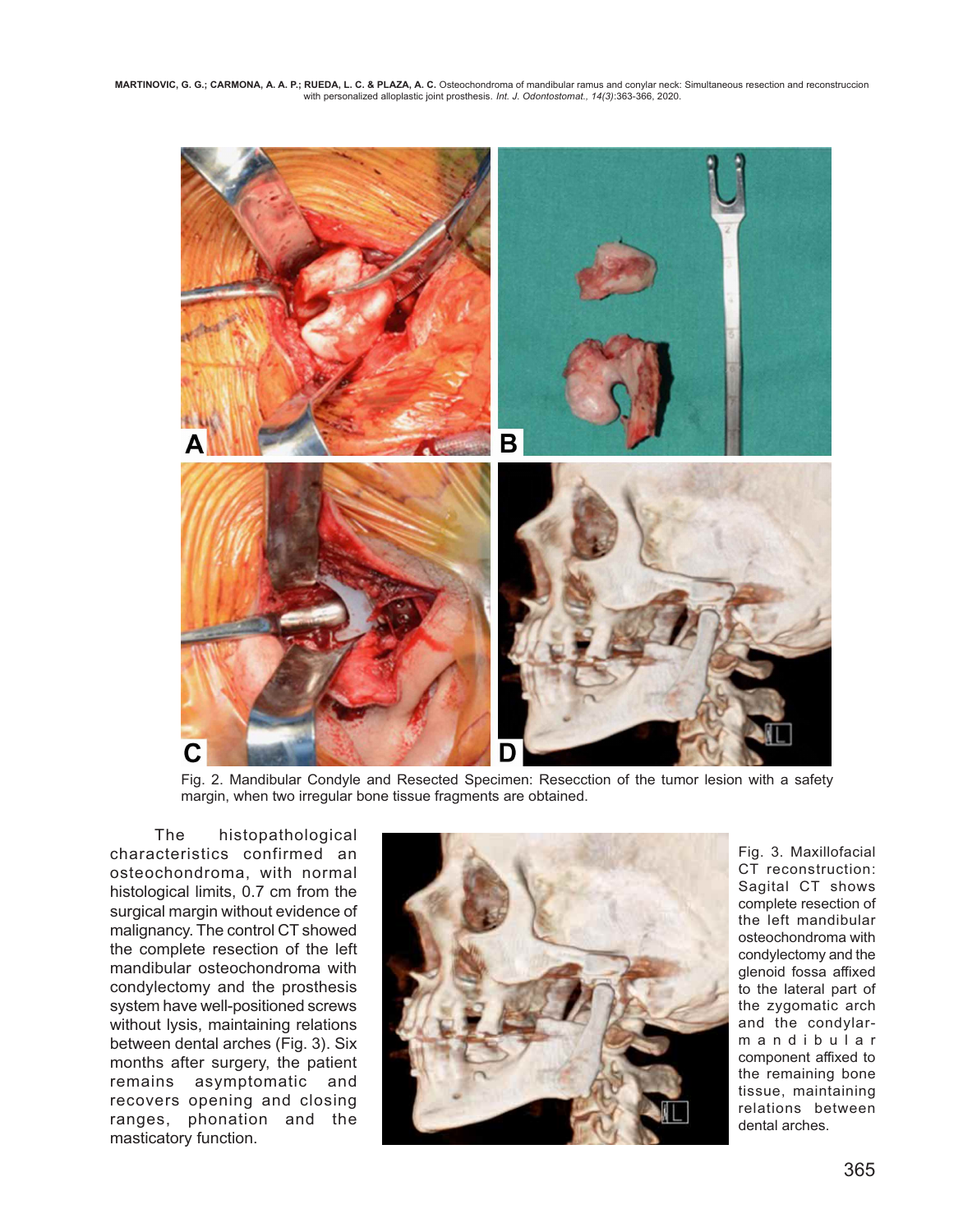**MARTINOVIC, G. G.; CARMONA, A. A. P.; RUEDA, L. C. & PLAZA, A. C.** Osteochondroma of mandibular ramus and conylar neck: Simultaneous resection and reconstruccion with personalized alloplastic joint prosthesis. *Int. J. Odontostomat., 14(3)*:363-366, 2020.



Fig. 2. Mandibular Condyle and Resected Specimen: Resecction of the tumor lesion with a safety margin, when two irregular bone tissue fragments are obtained.

 The histopathological characteristics confirmed an osteochondroma, with normal histological limits, 0.7 cm from the surgical margin without evidence of malignancy. The control CT showed the complete resection of the left mandibular osteochondroma with condylectomy and the prosthesis system have well-positioned screws without lysis, maintaining relations between dental arches (Fig. 3). Six months after surgery, the patient remains asymptomatic and recovers opening and closing ranges, phonation and the masticatory function.



Fig. 3. Maxillofacial CT reconstruction: Sagital CT shows complete resection of the left mandibular osteochondroma with condylectomy and the glenoid fossa affixed to the lateral part of the zygomatic arch and the condylarmandibular component affixed to the remaining bone tissue, maintaining relations between dental arches.